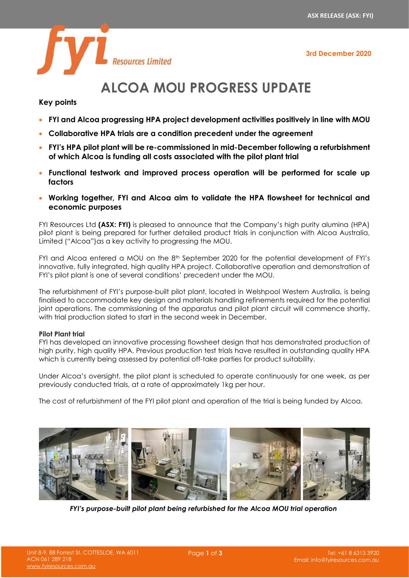**3rd December 2020**



# **ALCOA MOU PROGRESS UPDATE**

# **Key points**

- **FYI and Alcoa progressing HPA project development activities positively in line with MOU**
- **Collaborative HPA trials are a condition precedent under the agreement**
- **FYI's HPA pilot plant will be re-commissioned in mid-December following a refurbishment of which Alcoa is funding all costs associated with the pilot plant trial**
- **Functional testwork and improved process operation will be performed for scale up factors**
- **Working together, FYI and Alcoa aim to validate the HPA flowsheet for technical and economic purposes**

FYI Resources Ltd **(ASX: FYI)** is pleased to announce that the Company's high purity alumina (HPA) pilot plant is being prepared for further detailed product trials in conjunction with Alcoa Australia, Limited ("Alcoa") as a key activity to progressing the MOU.

FYI and Alcoa entered a MOU on the 8<sup>th</sup> September 2020 for the potential development of FYI's innovative, fully integrated, high quality HPA project. Collaborative operation and demonstration of FYI's pilot plant is one of several conditions' precedent under the MOU.

The refurbishment of FYI's purpose-built pilot plant, located in Welshpool Western Australia, is being finalised to accommodate key design and materials handling refinements required for the potential joint operations. The commissioning of the apparatus and pilot plant circuit will commence shortly, with trial production slated to start in the second week in December.

## **Pilot Plant trial**

FYI has developed an innovative processing flowsheet design that has demonstrated production of high purity, high quality HPA. Previous production test trials have resulted in outstanding quality HPA which is currently being assessed by potential off-take parties for product suitability.

Under Alcoa's oversight, the pilot plant is scheduled to operate continuously for one week, as per previously conducted trials, at a rate of approximately 1kg per hour.

The cost of refurbishment of the FYI pilot plant and operation of the trial is being funded by Alcoa.



*FYI's purpose-built pilot plant being refurbished for the Alcoa MOU trial operation*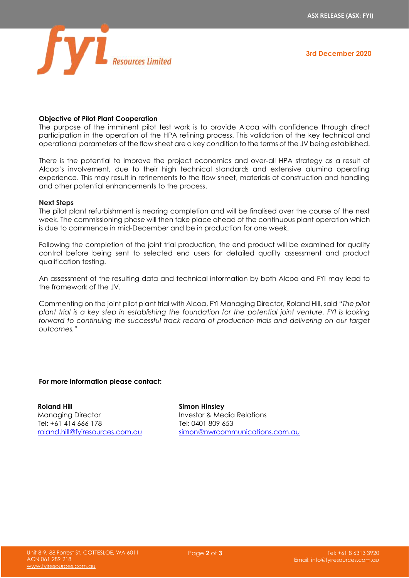

### **Objective of Pilot Plant Cooperation**

The purpose of the imminent pilot test work is to provide Alcoa with confidence through direct participation in the operation of the HPA refining process. This validation of the key technical and operational parameters of the flow sheet are a key condition to the terms of the JV being established.

There is the potential to improve the project economics and over-all HPA strategy as a result of Alcoa's involvement, due to their high technical standards and extensive alumina operating experience. This may result in refinements to the flow sheet, materials of construction and handling and other potential enhancements to the process.

#### **Next Steps**

The pilot plant refurbishment is nearing completion and will be finalised over the course of the next week. The commissioning phase will then take place ahead of the continuous plant operation which is due to commence in mid-December and be in production for one week.

Following the completion of the joint trial production, the end product will be examined for quality control before being sent to selected end users for detailed quality assessment and product qualification testing.

An assessment of the resulting data and technical information by both Alcoa and FYI may lead to the framework of the JV.

Commenting on the joint pilot plant trial with Alcoa, FYI Managing Director, Roland Hill, said *"The pilot plant trial is a key step in establishing the foundation for the potential joint venture. FYI is looking forward to continuing the successful track record of production trials and delivering on our target outcomes."*

#### **For more information please contact:**

**Roland Hill** Managing Director Tel: +61 414 666 178 [roland.hill@fyiresources.com.au](mailto:roland.hill@fyiresources.com.au) **Simon Hinsley** Investor & Media Relations Tel: 0401 809 653 [simon@nwrcommunications.com.au](mailto:simon@nwrcommunications.com.au)